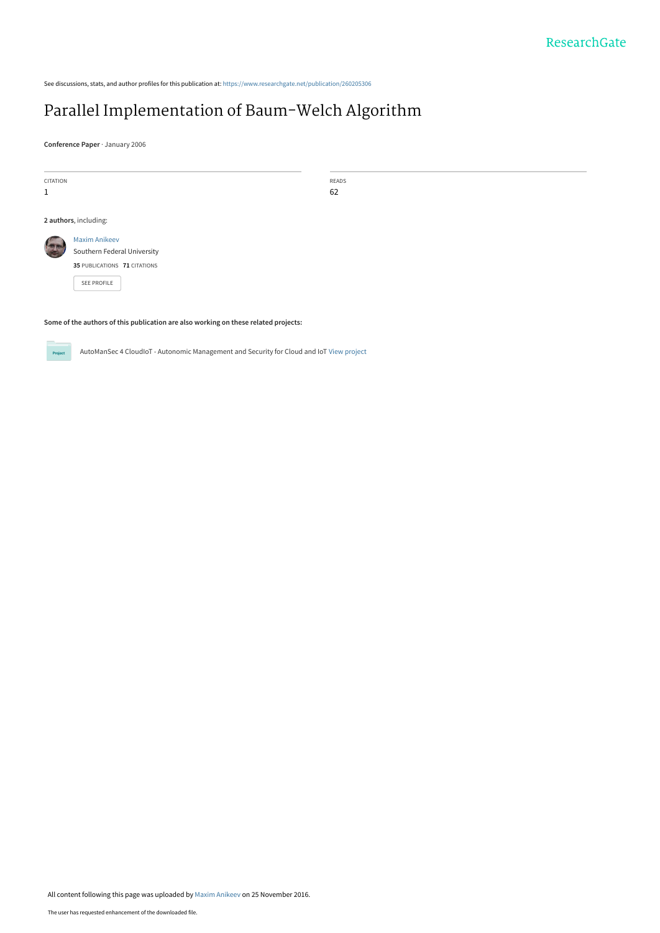See discussions, stats, and author profiles for this publication at: [https://www.researchgate.net/publication/260205306](https://www.researchgate.net/publication/260205306_Parallel_Implementation_of_Baum-Welch_Algorithm?enrichId=rgreq-e7138c2e0f8f3db4d86f57dd51e6e820-XXX&enrichSource=Y292ZXJQYWdlOzI2MDIwNTMwNjtBUzo0MzIyNzc3MzA2NjQ0NDhAMTQ4MDA3NDQ1MDU4OQ%3D%3D&el=1_x_2&_esc=publicationCoverPdf)

# [Parallel Implementation of Baum-Welch Algorithm](https://www.researchgate.net/publication/260205306_Parallel_Implementation_of_Baum-Welch_Algorithm?enrichId=rgreq-e7138c2e0f8f3db4d86f57dd51e6e820-XXX&enrichSource=Y292ZXJQYWdlOzI2MDIwNTMwNjtBUzo0MzIyNzc3MzA2NjQ0NDhAMTQ4MDA3NDQ1MDU4OQ%3D%3D&el=1_x_3&_esc=publicationCoverPdf)

**Conference Paper** · January 2006

CITATION 1

READS 62

**2 authors**, including:

[Maxim Anikeev](https://www.researchgate.net/profile/Maxim_Anikeev?enrichId=rgreq-e7138c2e0f8f3db4d86f57dd51e6e820-XXX&enrichSource=Y292ZXJQYWdlOzI2MDIwNTMwNjtBUzo0MzIyNzc3MzA2NjQ0NDhAMTQ4MDA3NDQ1MDU4OQ%3D%3D&el=1_x_5&_esc=publicationCoverPdf) [Southern Federal University](https://www.researchgate.net/institution/Southern_Federal_University?enrichId=rgreq-e7138c2e0f8f3db4d86f57dd51e6e820-XXX&enrichSource=Y292ZXJQYWdlOzI2MDIwNTMwNjtBUzo0MzIyNzc3MzA2NjQ0NDhAMTQ4MDA3NDQ1MDU4OQ%3D%3D&el=1_x_6&_esc=publicationCoverPdf) **35** PUBLICATIONS **71** CITATIONS

[SEE PROFILE](https://www.researchgate.net/profile/Maxim_Anikeev?enrichId=rgreq-e7138c2e0f8f3db4d86f57dd51e6e820-XXX&enrichSource=Y292ZXJQYWdlOzI2MDIwNTMwNjtBUzo0MzIyNzc3MzA2NjQ0NDhAMTQ4MDA3NDQ1MDU4OQ%3D%3D&el=1_x_7&_esc=publicationCoverPdf)

#### **Some of the authors of this publication are also working on these related projects:**

**Project** 

AutoManSec 4 CloudIoT - Autonomic Management and Security for Cloud and IoT [View project](https://www.researchgate.net/project/AutoManSec-4-CloudIoT-Autonomic-Management-and-Security-for-Cloud-and-IoT?enrichId=rgreq-e7138c2e0f8f3db4d86f57dd51e6e820-XXX&enrichSource=Y292ZXJQYWdlOzI2MDIwNTMwNjtBUzo0MzIyNzc3MzA2NjQ0NDhAMTQ4MDA3NDQ1MDU4OQ%3D%3D&el=1_x_9&_esc=publicationCoverPdf)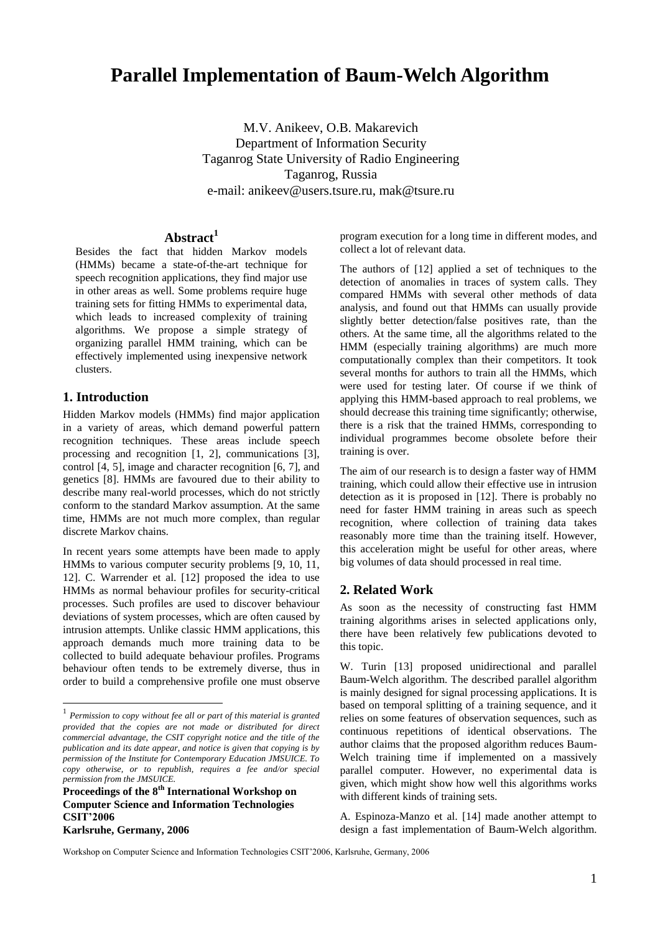# **Parallel Implementation of Baum-Welch Algorithm**

M.V. Anikeev, O.B. Makarevich Department of Information Security Taganrog State University of Radio Engineering Taganrog, Russia e-mail: anikeev@users.tsure.ru, mak@tsure.ru

# **Abstract<sup>1</sup>**

Besides the fact that hidden Markov models (HMMs) became a state-of-the-art technique for speech recognition applications, they find major use in other areas as well. Some problems require huge training sets for fitting HMMs to experimental data, which leads to increased complexity of training algorithms. We propose a simple strategy of organizing parallel HMM training, which can be effectively implemented using inexpensive network clusters.

# **1. Introduction**

Hidden Markov models (HMMs) find major application in a variety of areas, which demand powerful pattern recognition techniques. These areas include speech processing and recognition [1, 2], communications [3], control [4, 5], image and character recognition [6, 7], and genetics [8]. HMMs are favoured due to their ability to describe many real-world processes, which do not strictly conform to the standard Markov assumption. At the same time, HMMs are not much more complex, than regular discrete Markov chains.

In recent years some attempts have been made to apply HMMs to various computer security problems [9, 10, 11, 12]. C. Warrender et al. [12] proposed the idea to use HMMs as normal behaviour profiles for security-critical processes. Such profiles are used to discover behaviour deviations of system processes, which are often caused by intrusion attempts. Unlike classic HMM applications, this approach demands much more training data to be collected to build adequate behaviour profiles. Programs behaviour often tends to be extremely diverse, thus in order to build a comprehensive profile one must observe program execution for a long time in different modes, and collect a lot of relevant data.

The authors of [12] applied a set of techniques to the detection of anomalies in traces of system calls. They compared HMMs with several other methods of data analysis, and found out that HMMs can usually provide slightly better detection/false positives rate, than the others. At the same time, all the algorithms related to the HMM (especially training algorithms) are much more computationally complex than their competitors. It took several months for authors to train all the HMMs, which were used for testing later. Of course if we think of applying this HMM-based approach to real problems, we should decrease this training time significantly; otherwise, there is a risk that the trained HMMs, corresponding to individual programmes become obsolete before their training is over.

The aim of our research is to design a faster way of HMM training, which could allow their effective use in intrusion detection as it is proposed in [12]. There is probably no need for faster HMM training in areas such as speech recognition, where collection of training data takes reasonably more time than the training itself. However, this acceleration might be useful for other areas, where big volumes of data should processed in real time.

## **2. Related Work**

As soon as the necessity of constructing fast HMM training algorithms arises in selected applications only, there have been relatively few publications devoted to this topic.

W. Turin [13] proposed unidirectional and parallel Baum-Welch algorithm. The described parallel algorithm is mainly designed for signal processing applications. It is based on temporal splitting of a training sequence, and it relies on some features of observation sequences, such as continuous repetitions of identical observations. The author claims that the proposed algorithm reduces Baum-Welch training time if implemented on a massively parallel computer. However, no experimental data is given, which might show how well this algorithms works with different kinds of training sets.

A. Espinoza-Manzo et al. [14] made another attempt to design a fast implementation of Baum-Welch algorithm.

<sup>&</sup>lt;sup>1</sup><br><sup>1</sup> Permission to copy without fee all or part of this material is granted *provided that the copies are not made or distributed for direct commercial advantage, the CSIT copyright notice and the title of the publication and its date appear, and notice is given that copying is by permission of the Institute for Contemporary Education JMSUICE. To copy otherwise, or to republish, requires a fee and/or special permission from the JMSUICE.*

**Proceedings of the 8 th International Workshop on Computer Science and Information Technologies CSIT'2006 Karlsruhe, Germany, 2006**

Workshop on Computer Science and Information Technologies CSIT'2006, Karlsruhe, Germany, 2006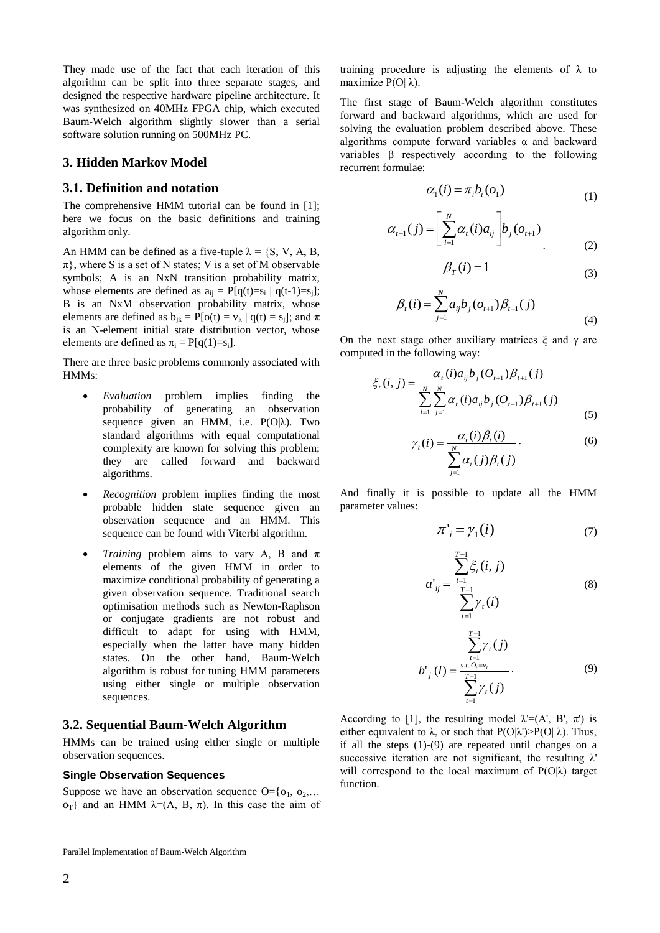They made use of the fact that each iteration of this algorithm can be split into three separate stages, and designed the respective hardware pipeline architecture. It was synthesized on 40MHz FPGA chip, which executed Baum-Welch algorithm slightly slower than a serial software solution running on 500MHz PC.

## **3. Hidden Markov Model**

## **3.1. Definition and notation**

The comprehensive HMM tutorial can be found in [1]; here we focus on the basic definitions and training algorithm only.

An HMM can be defined as a five-tuple  $\lambda = \{S, V, A, B, \}$  $\pi$ , where S is a set of N states; V is a set of M observable symbols; A is an NxN transition probability matrix, whose elements are defined as  $a_{ij} = P[q(t)=s_i | q(t-1)=s_j];$ B is an NxM observation probability matrix, whose elements are defined as  $b_{ik} = P[o(t) = v_k | q(t) = s_i]$ ; and  $\pi$ is an N-element initial state distribution vector, whose elements are defined as  $\pi_i = P[q(1)=s_i]$ .

There are three basic problems commonly associated with HMMs:

- *Evaluation* problem implies finding the probability of generating an observation sequence given an HMM, i.e.  $P(O|\lambda)$ . Two standard algorithms with equal computational complexity are known for solving this problem; they are called forward and backward algorithms.
- *Recognition* problem implies finding the most probable hidden state sequence given an observation sequence and an HMM. This sequence can be found with Viterbi algorithm.
- *• Training* problem aims to vary A, B and  $\pi$ elements of the given HMM in order to maximize conditional probability of generating a given observation sequence. Traditional search optimisation methods such as Newton-Raphson or conjugate gradients are not robust and difficult to adapt for using with HMM, especially when the latter have many hidden states. On the other hand, Baum-Welch algorithm is robust for tuning HMM parameters using either single or multiple observation sequences.

# **3.2. Sequential Baum-Welch Algorithm**

HMMs can be trained using either single or multiple observation sequences.

#### **Single Observation Sequences**

Suppose we have an observation sequence  $O = \{o_1, o_2, \ldots\}$  $o<sub>T</sub>$ } and an HMM  $λ=(A, B, π)$ . In this case the aim of

Parallel Implementation of Baum-Welch Algorithm

training procedure is adjusting the elements of  $\lambda$  to maximize  $P(O|λ)$ .

The first stage of Baum-Welch algorithm constitutes forward and backward algorithms, which are used for solving the evaluation problem described above. These algorithms compute forward variables  $\alpha$  and backward variables β respectively according to the following recurrent formulae:

$$
\alpha_1(i) = \pi_i b_i(o_1)
$$
 (1)

$$
\alpha_{t+1}(j) = \left[ \sum_{i=1}^{N} \alpha_{t}(i) a_{ij} \right] b_{j}(o_{t+1})
$$
\n(2)

$$
\beta_T(i) = 1\tag{3}
$$

$$
\beta_{t}(i) = \sum_{j=1}^{N} a_{ij} b_{j} (o_{t+1}) \beta_{t+1}(j)
$$
\n(4)

On the next stage other auxiliary matrices  $ξ$  and  $γ$  are computed in the following way:

$$
\xi_{t}(i, j) = \frac{\alpha_{t}(i)a_{ij}b_{j}(O_{t+1})\beta_{t+1}(j)}{\sum_{i=1}^{N} \sum_{j=1}^{N} \alpha_{t}(i)a_{ij}b_{j}(O_{t+1})\beta_{t+1}(j)}
$$
(5)

$$
\gamma_{t}(i) = \frac{\alpha_{t}(i)\beta_{t}(i)}{\sum_{j=1}^{N} \alpha_{t}(j)\beta_{t}(j)}.
$$
\n(6)

And finally it is possible to update all the HMM parameter values:

$$
\pi'_i = \gamma_1(i) \tag{7}
$$

$$
a'_{ij} = \frac{\sum_{t=1}^{T-1} \xi_t(i,j)}{\sum_{t=1}^{T-1} \gamma_t(i)}
$$
(8)

$$
b'_{j}(l) = \frac{\sum_{t=1}^{T-1} \gamma_{t}(j)}{\sum_{t=1}^{T-1} \gamma_{t}(j)}.
$$
\n(9)

According to [1], the resulting model  $\lambda = (A', B', \pi')$  is either equivalent to  $\lambda$ , or such that P(O| $\lambda$ ')>P(O| $\lambda$ ). Thus, if all the steps (1)-(9) are repeated until changes on a successive iteration are not significant, the resulting  $\lambda$ ' will correspond to the local maximum of P(O|λ) target function.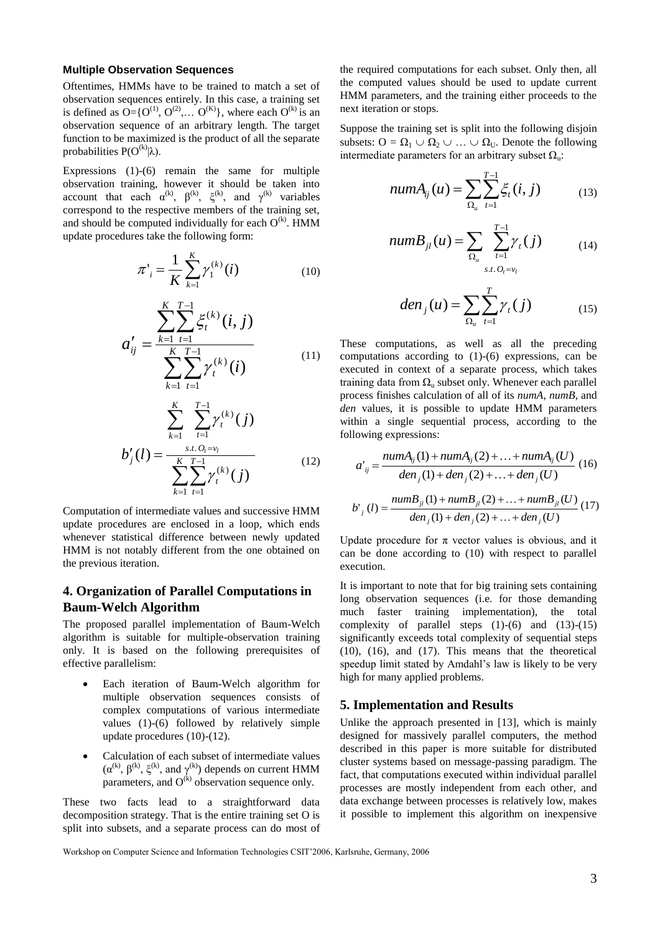#### **Multiple Observation Sequences**

Oftentimes, HMMs have to be trained to match a set of observation sequences entirely. In this case, a training set is defined as  $O=[O^{(1)}, O^{(2)}, \ldots O^{(K)}]$ , where each  $O^{(k)}$  is an observation sequence of an arbitrary length. The target function to be maximized is the product of all the separate probabilities  $P(O^{(k)}|\lambda)$ .

Expressions (1)-(6) remain the same for multiple observation training, however it should be taken into account that each  $\alpha^{(k)}$ ,  $\beta^{(k)}$ ,  $\xi^{(k)}$ , and  $\gamma^{(k)}$  variables correspond to the respective members of the training set, and should be computed individually for each  $O^{(k)}$ . HMM update procedures take the following form:

$$
\pi'_{i} = \frac{1}{K} \sum_{k=1}^{K} \gamma_{1}^{(k)}(i)
$$
 (10)

$$
a'_{ij} = \frac{\sum_{k=1}^{K} \sum_{t=1}^{T-1} \xi_t^{(k)}(i, j)}{\sum_{k=1}^{K} \sum_{t=1}^{T-1} \gamma_t^{(k)}(i)}
$$
(11)

$$
b'_{j}(l) = \frac{\sum_{k=1}^{K} \sum_{t=1}^{T-1} \gamma_{t}^{(k)}(j)}{\sum_{k=1}^{K} \sum_{t=1}^{T-1} \gamma_{t}^{(k)}(j)}
$$
(12)

Computation of intermediate values and successive HMM update procedures are enclosed in a loop, which ends whenever statistical difference between newly updated HMM is not notably different from the one obtained on the previous iteration.

# **4. Organization of Parallel Computations in Baum-Welch Algorithm**

The proposed parallel implementation of Baum-Welch algorithm is suitable for multiple-observation training only. It is based on the following prerequisites of effective parallelism:

- Each iteration of Baum-Welch algorithm for multiple observation sequences consists of complex computations of various intermediate values (1)-(6) followed by relatively simple update procedures (10)-(12).
- Calculation of each subset of intermediate values  $(\alpha^{(k)}, \beta^{(k)}, \xi^{(k)}, \text{ and } \gamma^{(k)})$  depends on current HMM parameters, and  $O^{(k)}$  observation sequence only.

These two facts lead to a straightforward data decomposition strategy. That is the entire training set O is split into subsets, and a separate process can do most of the required computations for each subset. Only then, all the computed values should be used to update current HMM parameters, and the training either proceeds to the next iteration or stops.

Suppose the training set is split into the following disjoin subsets:  $O = \Omega_1 \cup \Omega_2 \cup ... \cup \Omega_U$ . Denote the following intermediate parameters for an arbitrary subset  $\Omega_{\rm u}$ :

$$
numA_{ij}(u) = \sum_{\Omega_u} \sum_{t=1}^{T-1} \xi_t(i, j) \tag{13}
$$

$$
numB_{jl}(u) = \sum_{\Omega_u} \sum_{t=1}^{T-1} \gamma_t(j) \tag{14}
$$

$$
den_j(u) = \sum_{\Omega_u} \sum_{t=1}^T \gamma_t(j) \tag{15}
$$

These computations, as well as all the preceding computations according to (1)-(6) expressions, can be executed in context of a separate process, which takes training data from  $\Omega_{\rm u}$  subset only. Whenever each parallel process finishes calculation of all of its *numA*, *numB*, and *den* values, it is possible to update HMM parameters within a single sequential process, according to the following expressions:

$$
a'_{ij} = \frac{numA_{ij}(1) + numA_{ij}(2) + ... + numA_{ij}(U)}{den_j(1) + den_j(2) + ... + den_j(U)}
$$
(16)  

$$
b'_{j}(l) = \frac{numB_{jl}(1) + numB_{jl}(2) + ... + numB_{jl}(U)}{den_j(1) + den_j(2) + ... + den_j(U)}
$$
(17)

Update procedure for  $\pi$  vector values is obvious, and it can be done according to (10) with respect to parallel execution.

It is important to note that for big training sets containing long observation sequences (i.e. for those demanding much faster training implementation), the total complexity of parallel steps  $(1)-(6)$  and  $(13)-(15)$ significantly exceeds total complexity of sequential steps (10), (16), and (17). This means that the theoretical speedup limit stated by Amdahl's law is likely to be very high for many applied problems.

#### **5. Implementation and Results**

Unlike the approach presented in [13], which is mainly designed for massively parallel computers, the method described in this paper is more suitable for distributed cluster systems based on message-passing paradigm. The fact, that computations executed within individual parallel processes are mostly independent from each other, and data exchange between processes is relatively low, makes it possible to implement this algorithm on inexpensive

Workshop on Computer Science and Information Technologies CSIT'2006, Karlsruhe, Germany, 2006